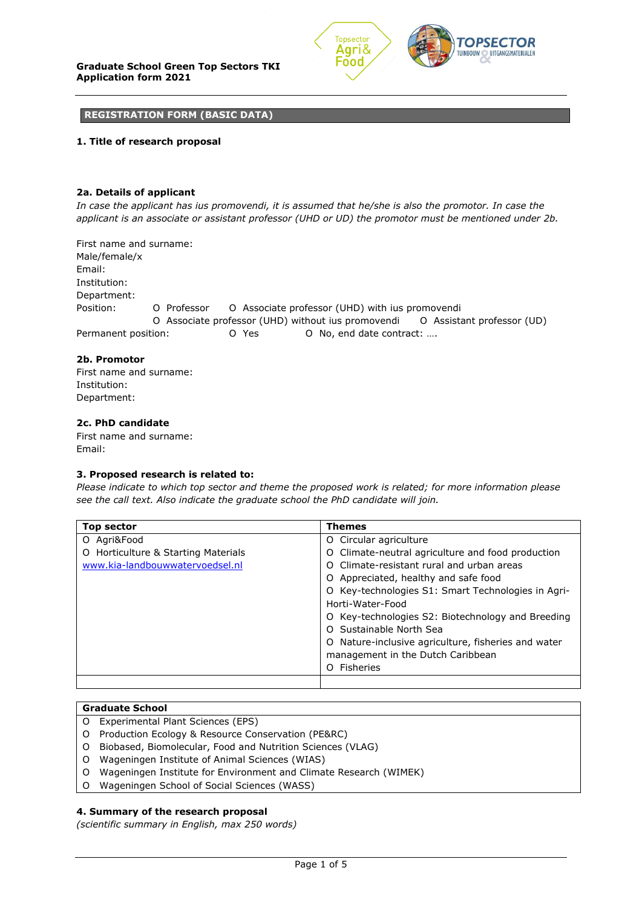

### **REGISTRATION FORM (BASIC DATA)**

## **1. Title of research proposal**

## **2a. Details of applicant**

*In case the applicant has ius promovendi, it is assumed that he/she is also the promotor. In case the applicant is an associate or assistant professor (UHD or UD) the promotor must be mentioned under 2b.*

First name and surname: Male/female/x Email: Institution: Department: Position: Ο Professor Ο Associate professor (UHD) with ius promovendi Ο Associate professor (UHD) without ius promovendi Ο Assistant professor (UD) Permanent position: Ο Yes Ο No, end date contract: ….

## **2b. Promotor**

First name and surname: Institution: Department:

# **2c. PhD candidate**

First name and surname: Email:

### **3. Proposed research is related to:**

*Please indicate to which top sector and theme the proposed work is related; for more information please see the call text. Also indicate the graduate school the PhD candidate will join.*

| Top sector                             | <b>Themes</b>                                       |  |  |  |
|----------------------------------------|-----------------------------------------------------|--|--|--|
| O Agri&Food                            | O Circular agriculture                              |  |  |  |
| Horticulture & Starting Materials<br>O | O Climate-neutral agriculture and food production   |  |  |  |
| www.kia-landbouwwatervoedsel.nl        | O Climate-resistant rural and urban areas           |  |  |  |
|                                        | O Appreciated, healthy and safe food                |  |  |  |
|                                        | O Key-technologies S1: Smart Technologies in Agri-  |  |  |  |
|                                        | Horti-Water-Food                                    |  |  |  |
|                                        | O Key-technologies S2: Biotechnology and Breeding   |  |  |  |
|                                        | O Sustainable North Sea                             |  |  |  |
|                                        | O Nature-inclusive agriculture, fisheries and water |  |  |  |
|                                        | management in the Dutch Caribbean                   |  |  |  |
|                                        | Fisheries<br>O                                      |  |  |  |
|                                        |                                                     |  |  |  |

### **Graduate School**

- O Experimental Plant Sciences (EPS)
- O Production Ecology & Resource Conservation (PE&RC)
- O Biobased, Biomolecular, Food and Nutrition Sciences (VLAG)
- O Wageningen Institute of Animal Sciences (WIAS)
- O Wageningen Institute for Environment and Climate Research (WIMEK)
- O Wageningen School of Social Sciences (WASS)

### **4. Summary of the research proposal**

*(scientific summary in English, max 250 words)*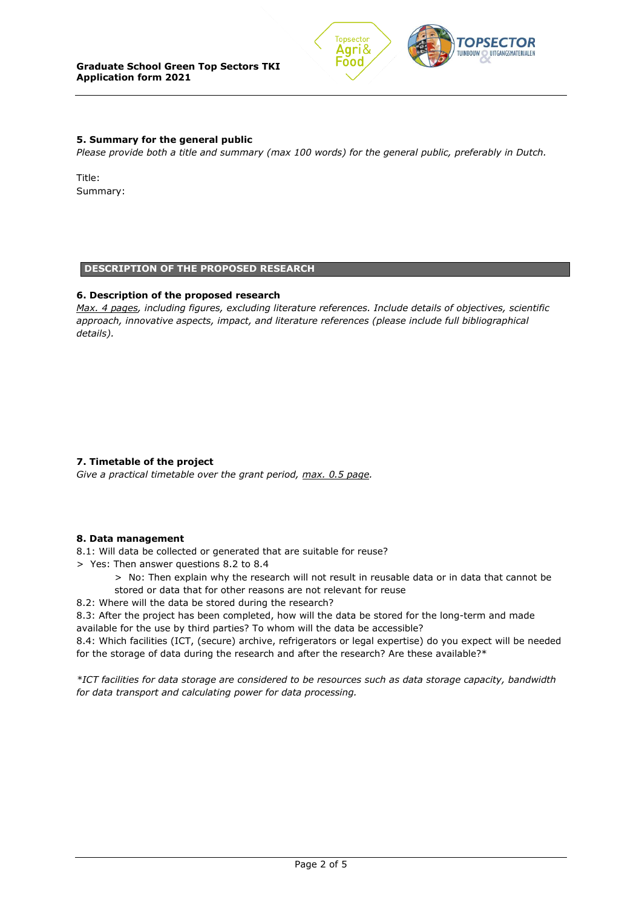

# **5. Summary for the general public**

*Please provide both a title and summary (max 100 words) for the general public, preferably in Dutch.*

Title: Summary:

### **DESCRIPTION OF THE PROPOSED RESEARCH**

## **6. Description of the proposed research**

*Max. 4 pages, including figures, excluding literature references. Include details of objectives, scientific approach, innovative aspects, impact, and literature references (please include full bibliographical details).*

# **7. Timetable of the project**

*Give a practical timetable over the grant period, max. 0.5 page.*

# **8. Data management**

8.1: Will data be collected or generated that are suitable for reuse?

- > Yes: Then answer questions 8.2 to 8.4
	- > No: Then explain why the research will not result in reusable data or in data that cannot be stored or data that for other reasons are not relevant for reuse
- 8.2: Where will the data be stored during the research?

8.3: After the project has been completed, how will the data be stored for the long-term and made available for the use by third parties? To whom will the data be accessible?

8.4: Which facilities (ICT, (secure) archive, refrigerators or legal expertise) do you expect will be needed for the storage of data during the research and after the research? Are these available?\*

*\*ICT facilities for data storage are considered to be resources such as data storage capacity, bandwidth for data transport and calculating power for data processing.*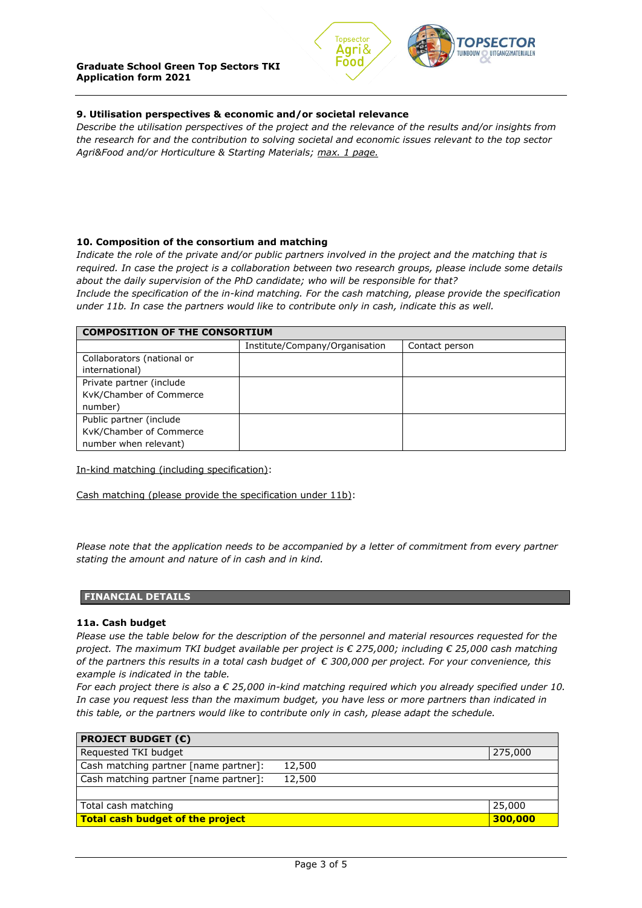

# **9. Utilisation perspectives & economic and/or societal relevance**

*Describe the utilisation perspectives of the project and the relevance of the results and/or insights from the research for and the contribution to solving societal and economic issues relevant to the top sector Agri&Food and/or Horticulture & Starting Materials; max. 1 page.*

# **10. Composition of the consortium and matching**

*Indicate the role of the private and/or public partners involved in the project and the matching that is required. In case the project is a collaboration between two research groups, please include some details about the daily supervision of the PhD candidate; who will be responsible for that?*

*Include the specification of the in-kind matching. For the cash matching, please provide the specification under 11b. In case the partners would like to contribute only in cash, indicate this as well.*

| <b>COMPOSITION OF THE CONSORTIUM</b> |                                |                |  |  |  |  |
|--------------------------------------|--------------------------------|----------------|--|--|--|--|
|                                      | Institute/Company/Organisation | Contact person |  |  |  |  |
| Collaborators (national or           |                                |                |  |  |  |  |
| international)                       |                                |                |  |  |  |  |
| Private partner (include             |                                |                |  |  |  |  |
| KvK/Chamber of Commerce              |                                |                |  |  |  |  |
| number)                              |                                |                |  |  |  |  |
| Public partner (include              |                                |                |  |  |  |  |
| KvK/Chamber of Commerce              |                                |                |  |  |  |  |
| number when relevant)                |                                |                |  |  |  |  |

In-kind matching (including specification):

Cash matching (please provide the specification under 11b):

*Please note that the application needs to be accompanied by a letter of commitment from every partner stating the amount and nature of in cash and in kind.*

### **FINANCIAL DETAILS**

### **11a. Cash budget**

*Please use the table below for the description of the personnel and material resources requested for the project. The maximum TKI budget available per project is € 275,000; including € 25,000 cash matching of the partners this results in a total cash budget of € 300,000 per project. For your convenience, this example is indicated in the table.*

*For each project there is also a € 25,000 in-kind matching required which you already specified under 10. In case you request less than the maximum budget, you have less or more partners than indicated in this table, or the partners would like to contribute only in cash, please adapt the schedule.*

| <b>PROJECT BUDGET (<math>\epsilon</math>)</b> |        |         |
|-----------------------------------------------|--------|---------|
| Requested TKI budget                          |        | 275,000 |
| Cash matching partner [name partner]:         | 12,500 |         |
| Cash matching partner [name partner]:         | 12,500 |         |
|                                               |        |         |
| Total cash matching                           |        | 25,000  |
| <b>Total cash budget of the project</b>       |        | 300,000 |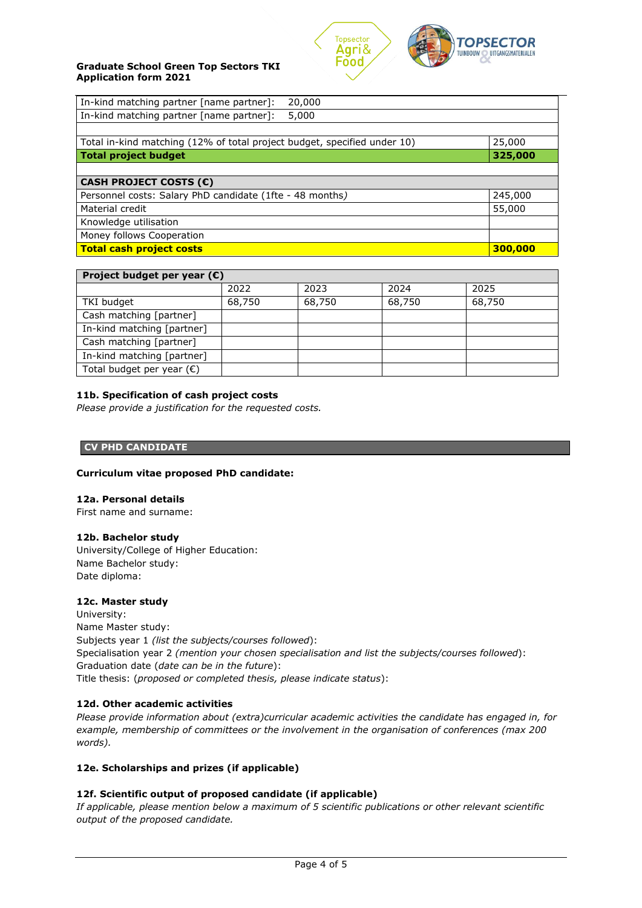

# **Graduate School Green Top Sectors TKI Application form 2021**

| In-kind matching partner [name partner]:<br>20,000                       |         |  |  |  |
|--------------------------------------------------------------------------|---------|--|--|--|
| In-kind matching partner [name partner]:<br>5,000                        |         |  |  |  |
|                                                                          |         |  |  |  |
| Total in-kind matching (12% of total project budget, specified under 10) | 25,000  |  |  |  |
| <b>Total project budget</b>                                              | 325,000 |  |  |  |
|                                                                          |         |  |  |  |
| CASH PROJECT COSTS (€)                                                   |         |  |  |  |
| Personnel costs: Salary PhD candidate (1fte - 48 months)                 | 245,000 |  |  |  |
| Material credit                                                          | 55,000  |  |  |  |
| Knowledge utilisation                                                    |         |  |  |  |
| Money follows Cooperation                                                |         |  |  |  |
| <b>Total cash project costs</b>                                          | 300,000 |  |  |  |

| Project budget per year $(\epsilon)$ |        |        |        |        |  |  |
|--------------------------------------|--------|--------|--------|--------|--|--|
|                                      | 2022   | 2023   | 2024   | 2025   |  |  |
| TKI budget                           | 68,750 | 68,750 | 68,750 | 68,750 |  |  |
| Cash matching [partner]              |        |        |        |        |  |  |
| In-kind matching [partner]           |        |        |        |        |  |  |
| Cash matching [partner]              |        |        |        |        |  |  |
| In-kind matching [partner]           |        |        |        |        |  |  |
| Total budget per year $(\epsilon)$   |        |        |        |        |  |  |

# **11b. Specification of cash project costs**

*Please provide a justification for the requested costs.*

## **CV PHD CANDIDATE**

### **Curriculum vitae proposed PhD candidate:**

### **12a. Personal details**

First name and surname:

# **12b. Bachelor study**

University/College of Higher Education: Name Bachelor study: Date diploma:

# **12c. Master study**

University: Name Master study: Subjects year 1 *(list the subjects/courses followed*): Specialisation year 2 *(mention your chosen specialisation and list the subjects/courses followed*): Graduation date (*date can be in the future*): Title thesis: (*proposed or completed thesis, please indicate status*):

# **12d. Other academic activities**

*Please provide information about (extra)curricular academic activities the candidate has engaged in, for example, membership of committees or the involvement in the organisation of conferences (max 200 words).*

### **12e. Scholarships and prizes (if applicable)**

# **12f. Scientific output of proposed candidate (if applicable)**

*If applicable, please mention below a maximum of 5 scientific publications or other relevant scientific output of the proposed candidate.*